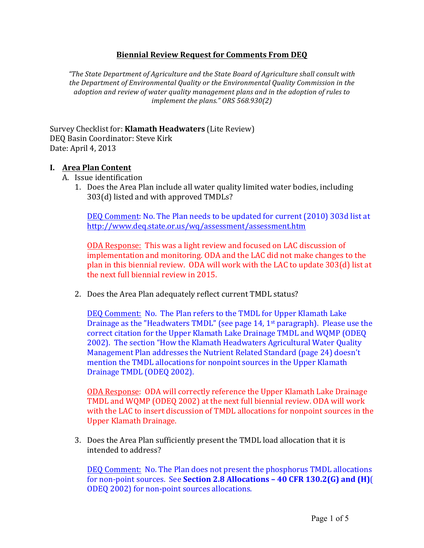## **Biennial'Review'Request'for'Comments'From'DEQ**

*"The%State%Department%of%Agriculture%and%the%State%Board%of%Agriculture%shall%consult%with%* the Department of Environmental Quality or the Environmental Quality Commission in the adoption and review of water quality management plans and in the adoption of rules to *implement the plans." ORS 568.930(2)* 

Survey Checklist for: **Klamath Headwaters** (Lite Review) DEQ Basin Coordinator: Steve Kirk Date: April 4, 2013

## **I.** Area Plan Content

- A. Issue identification
	- 1. Does the Area Plan include all water quality limited water bodies, including  $303(d)$  listed and with approved TMDLs?

DEQ Comment: No. The Plan needs to be updated for current (2010) 303d list at http://www.deq.state.or.us/wq/assessment/assessment.htm

ODA Response: This was a light review and focused on LAC discussion of implementation and monitoring. ODA and the LAC did not make changes to the plan in this biennial review.  $\Delta$ DA will work with the LAC to update 303(d) list at the next full biennial review in 2015.

2. Does the Area Plan adequately reflect current TMDL status?

DEQ Comment: No. The Plan refers to the TMDL for Upper Klamath Lake Drainage as the "Headwaters TMDL" (see page 14, 1<sup>st</sup> paragraph). Please use the correct citation for the Upper Klamath Lake Drainage TMDL and WOMP (ODEO) 2002). The section "How the Klamath Headwaters Agricultural Water Quality Management Plan addresses the Nutrient Related Standard (page 24) doesn't mention the TMDL allocations for nonpoint sources in the Upper Klamath Drainage TMDL (ODEQ 2002).

ODA Response: ODA will correctly reference the Upper Klamath Lake Drainage TMDL and WQMP (ODEQ 2002) at the next full biennial review. ODA will work with the LAC to insert discussion of TMDL allocations for nonpoint sources in the Upper Klamath Drainage.

3. Does the Area Plan sufficiently present the TMDL load allocation that it is intended to!address?

DEQ Comment: No. The Plan does not present the phosphorus TMDL allocations for non-point sources. See **Section 2.8 Allocations - 40 CFR 130.2(G) and (H)**( ODEQ 2002) for non-point sources allocations.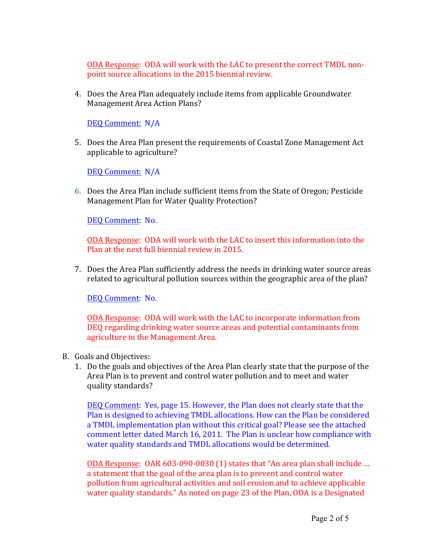ODA Response: ODA will work with the LAC to present the correct TMDL nonpoint source allocations in the 2015 biennial review.

4. Does the Area Plan adequately include items from applicable Groundwater Management Area Action Plans?

DEQ Comment: N/A

5. Does the Area Plan present the requirements of Coastal Zone Management Act applicable to agriculture?

DEQ Comment: N/A

6. Does the Area Plan include sufficient items from the State of Oregon; Pesticide Management Plan for Water Quality Protection?

DEQ Comment: No.

ODA Response: ODA will work with the LAC to insert this information into the Plan at the next full biennial review in 2015.

7. Does the Area Plan sufficiently address the needs in drinking water source areas related to agricultural pollution sources within the geographic area of the plan?

DEQ Comment: No.

ODA Response: ODA will work with the LAC to incorporate information from DEQ regarding drinking water source areas and potential contaminants from agriculture in the Management Area.

- B. Goals and Objectives:
	- 1. Do the goals and objectives of the Area Plan clearly state that the purpose of the Area Plan is to prevent and control water pollution and to meet and water quality standards?

DEQ Comment: Yes, page 15. However, the Plan does not clearly state that the Plan is designed to achieving TMDL allocations. How can the Plan be considered a TMDL implementation plan without this critical goal? Please see the attached comment letter dated March 16, 2011. The Plan is unclear how compliance with water quality standards and TMDL allocations would be determined.

ODA Response: OAR 603-090-0030 (1) states that "An area plan shall include ... a statement that the goal of the area plan is to prevent and control water pollution from agricultural activities and soil erosion and to achieve applicable water quality standards." As noted on page 23 of the Plan, ODA is a Designated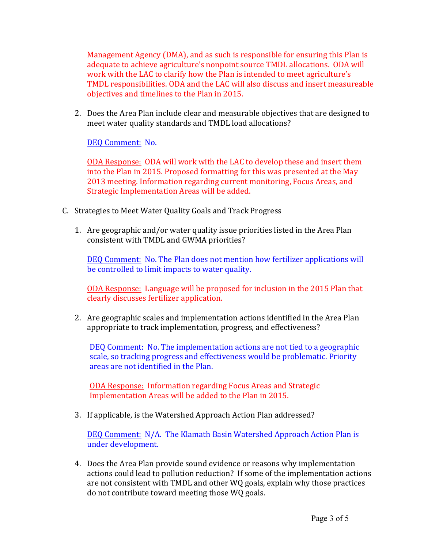Management Agency (DMA), and as such is responsible for ensuring this Plan is adequate to achieve agriculture's nonpoint source TMDL allocations. ODA will work with the LAC to clarify how the Plan is intended to meet agriculture's TMDL responsibilities. ODA and the LAC will also discuss and insert measureable objectives and timelines to the Plan in 2015.

2. Does the Area Plan include clear and measurable objectives that are designed to meet water quality standards and TMDL load allocations?

DEQ Comment: No.

ODA Response: ODA will work with the LAC to develop these and insert them into the Plan in 2015. Proposed formatting for this was presented at the May 2013 meeting. Information regarding current monitoring, Focus Areas, and Strategic Implementation Areas will be added.

- C. Strategies to Meet Water Quality Goals and Track Progress
	- 1. Are geographic and/or water quality issue priorities listed in the Area Plan consistent with TMDL and GWMA priorities?

DEQ Comment: No. The Plan does not mention how fertilizer applications will be controlled to limit impacts to water quality.

ODA Response: Language will be proposed for inclusion in the 2015 Plan that clearly discusses fertilizer application.

2. Are geographic scales and implementation actions identified in the Area Plan appropriate to track implementation, progress, and effectiveness?

DEQ Comment: No. The implementation actions are not tied to a geographic scale, so tracking progress and effectiveness would be problematic. Priority areas are not identified in the Plan.

ODA Response: Information regarding Focus Areas and Strategic Implementation Areas will be added to the Plan in 2015.

3. If applicable, is the Watershed Approach Action Plan addressed?

DEQ Comment: N/A. The Klamath Basin Watershed Approach Action Plan is under development.

4. Does the Area Plan provide sound evidence or reasons why implementation actions could lead to pollution reduction? If some of the implementation actions are not consistent with TMDL and other WQ goals, explain why those practices do not contribute toward meeting those WQ goals.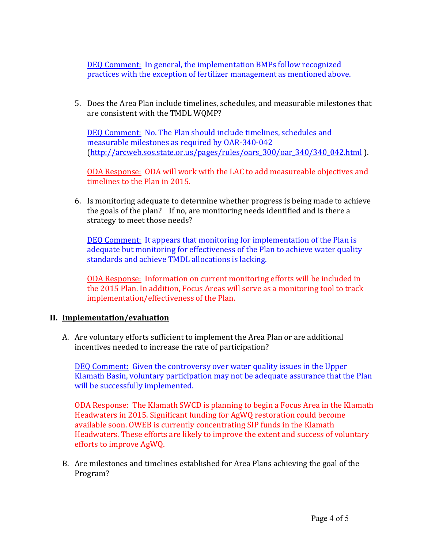DEQ Comment: In general, the implementation BMPs follow recognized practices with the exception of fertilizer management as mentioned above.

5. Does the Area Plan include timelines, schedules, and measurable milestones that are consistent with the TMDL WQMP?

DEQ Comment: No. The Plan should include timelines, schedules and measurable milestones as required by OAR-340-042 (http://arcweb.sos.state.or.us/pages/rules/oars\_300/oar\_340/340\_042.html).

ODA Response: ODA will work with the LAC to add measureable objectives and timelines to the Plan in 2015.

6. Is monitoring adequate to determine whether progress is being made to achieve the goals of the plan? If no, are monitoring needs identified and is there a strategy to meet those needs?

DEQ Comment: It appears that monitoring for implementation of the Plan is adequate but monitoring for effectiveness of the Plan to achieve water quality standards and achieve TMDL allocations is lacking.

ODA Response: Information on current monitoring efforts will be included in the 2015 Plan. In addition, Focus Areas will serve as a monitoring tool to track implementation/effectiveness of the Plan.

## **II. Implementation/evaluation**

A. Are voluntary efforts sufficient to implement the Area Plan or are additional incentives needed to increase the rate of participation?

DEQ Comment: Given the controversy over water quality issues in the Upper Klamath Basin, voluntary participation may not be adequate assurance that the Plan will be successfully implemented.

ODA Response: The Klamath SWCD is planning to begin a Focus Area in the Klamath Headwaters in 2015. Significant funding for AgWQ restoration could become available soon. OWEB is currently concentrating SIP funds in the Klamath Headwaters. These efforts are likely to improve the extent and success of voluntary efforts to improve AgWQ.

B. Are milestones and timelines established for Area Plans achieving the goal of the Program?